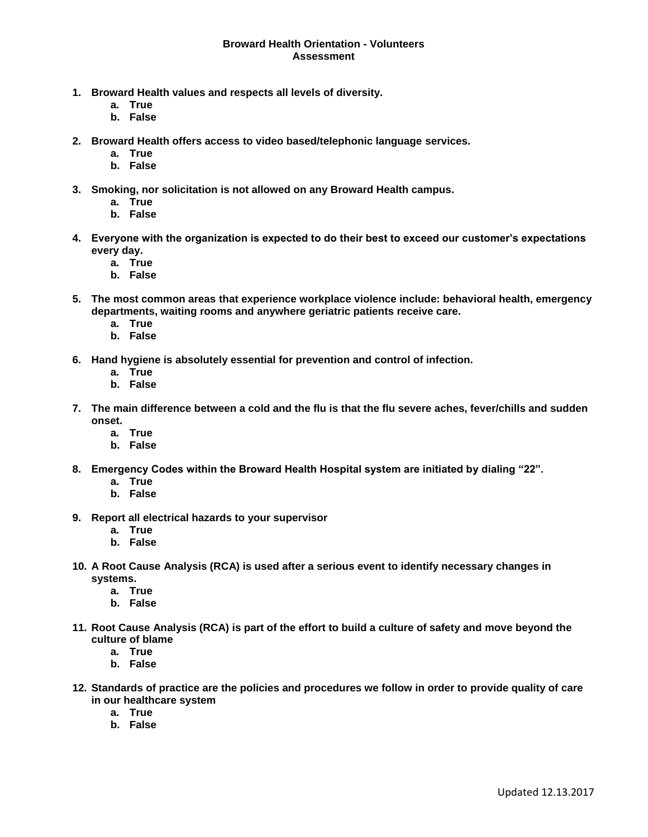## **Broward Health Orientation - Volunteers Assessment**

- **1. Broward Health values and respects all levels of diversity.**
	- **a. True**
	- **b. False**
- **2. Broward Health offers access to video based/telephonic language services.**
	- **a. True**
	- **b. False**
- **3. Smoking, nor solicitation is not allowed on any Broward Health campus.**
	- **a. True**
	- **b. False**
- **4. Everyone with the organization is expected to do their best to exceed our customer's expectations every day.**
	- **a. True**
	- **b. False**
- **5. The most common areas that experience workplace violence include: behavioral health, emergency departments, waiting rooms and anywhere geriatric patients receive care.**
	- **a. True**
	- **b. False**
- **6. Hand hygiene is absolutely essential for prevention and control of infection.**
	- **a. True**
	- **b. False**
- **7. The main difference between a cold and the flu is that the flu severe aches, fever/chills and sudden onset.**
	- **a. True**
	- **b. False**
- **8. Emergency Codes within the Broward Health Hospital system are initiated by dialing "22".**
	- **a. True**
	- **b. False**
- **9. Report all electrical hazards to your supervisor**
	- **a. True**
	- **b. False**
- **10. A Root Cause Analysis (RCA) is used after a serious event to identify necessary changes in systems.**
	- **a. True**
	- **b. False**
- **11. Root Cause Analysis (RCA) is part of the effort to build a culture of safety and move beyond the culture of blame**
	- **a. True**
	- **b. False**
- **12. Standards of practice are the policies and procedures we follow in order to provide quality of care in our healthcare system**
	- **a. True**
	- **b. False**